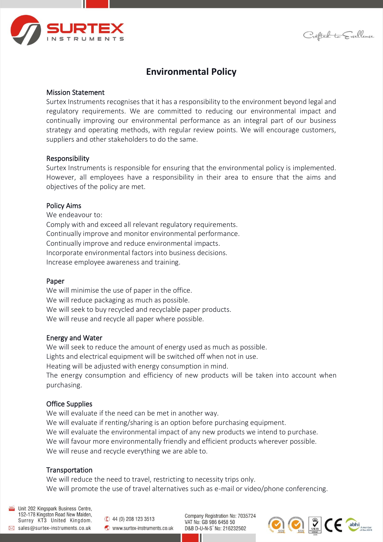

Crafted to Excellence

# **Environmental Policy**

# Mission Statement

Surtex Instruments recognises that it has a responsibility to the environment beyond legal and regulatory requirements. We are committed to reducing our environmental impact and continually improving our environmental performance as an integral part of our business strategy and operating methods, with regular review points. We will encourage customers, suppliers and other stakeholders to do the same.

#### Responsibility

Surtex Instruments is responsible for ensuring that the environmental policy is implemented. However, all employees have a responsibility in their area to ensure that the aims and objectives of the policy are met.

## Policy Aims

We endeavour to: Comply with and exceed all relevant regulatory requirements. Continually improve and monitor environmental performance. Continually improve and reduce environmental impacts. Incorporate environmental factors into business decisions. Increase employee awareness and training.

#### Paper

We will minimise the use of paper in the office. We will reduce packaging as much as possible. We will seek to buy recycled and recyclable paper products. We will reuse and recycle all paper where possible.

#### Energy and Water

We will seek to reduce the amount of energy used as much as possible. Lights and electrical equipment will be switched off when not in use. Heating will be adjusted with energy consumption in mind. The energy consumption and efficiency of new products will be taken into account when purchasing.

# Office Supplies

We will evaluate if the need can be met in another way. We will evaluate if renting/sharing is an option before purchasing equipment. We will evaluate the environmental impact of any new products we intend to purchase. We will favour more environmentally friendly and efficient products wherever possible. We will reuse and recycle everything we are able to.

# Transportation

We will reduce the need to travel, restricting to necessity trips only. We will promote the use of travel alternatives such as e-mail or video/phone conferencing.

Unit 202 Kingspark Business Centre, 152-178 Kingston Road New Malden, Surrey KT3 United Kingdom.  $\boxtimes$  sales@surtex-instruments.co.uk

 $\bullet$  44 (0) 208 123 3513 www.surtex-instruments.co.uk

Company Registration No: 7035724 VAT No: GB 986 6458 50 D&B D-U-N-S° No: 216232502